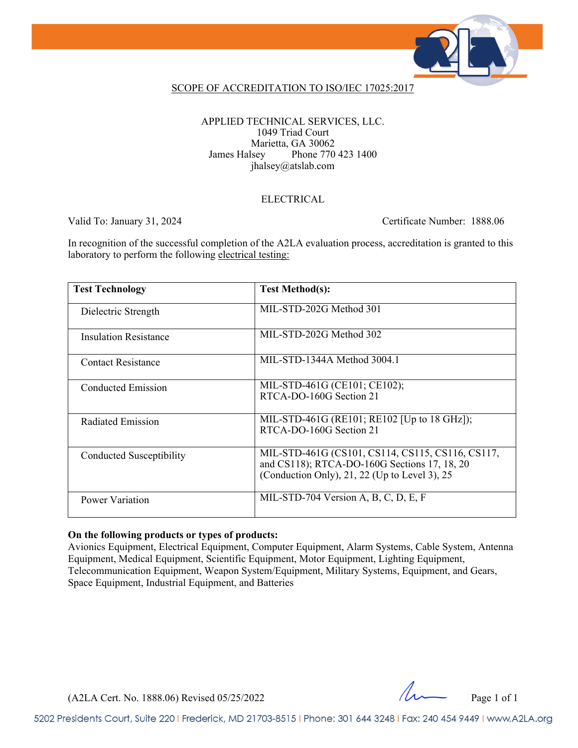

### SCOPE OF ACCREDITATION TO ISO/IEC 17025:2017

APPLIED TECHNICAL SERVICES, LLC. 1049 Triad Court Marietta, GA 30062 James Halsey Phone 770 423 1400 jhalsey@atslab.com

#### ELECTRICAL

Valid To: January 31, 2024 Certificate Number: 1888.06

In recognition of the successful completion of the A2LA evaluation process, accreditation is granted to this laboratory to perform the following electrical testing:

| <b>Test Technology</b>       | <b>Test Method(s):</b>                                                                                                                            |
|------------------------------|---------------------------------------------------------------------------------------------------------------------------------------------------|
| Dielectric Strength          | MIL-STD-202G Method 301                                                                                                                           |
| <b>Insulation Resistance</b> | MIL-STD-202G Method 302                                                                                                                           |
| <b>Contact Resistance</b>    | MIL-STD-1344A Method 3004.1                                                                                                                       |
| Conducted Emission           | MIL-STD-461G (CE101; CE102);<br>RTCA-DO-160G Section 21                                                                                           |
| Radiated Emission            | MIL-STD-461G (RE101; RE102 [Up to 18 GHz]);<br>RTCA-DO-160G Section 21                                                                            |
| Conducted Susceptibility     | MIL-STD-461G (CS101, CS114, CS115, CS116, CS117,<br>and CS118); RTCA-DO-160G Sections 17, 18, 20<br>(Conduction Only), 21, 22 (Up to Level 3), 25 |
| Power Variation              | MIL-STD-704 Version A, B, C, D, E, F                                                                                                              |

### **On the following products or types of products:**

Avionics Equipment, Electrical Equipment, Computer Equipment, Alarm Systems, Cable System, Antenna Equipment, Medical Equipment, Scientific Equipment, Motor Equipment, Lighting Equipment, Telecommunication Equipment, Weapon System/Equipment, Military Systems, Equipment, and Gears, Space Equipment, Industrial Equipment, and Batteries

 $(A2LA$  Cert. No. 1888.06) Revised 05/25/2022 Page 1 of 1

5202 Presidents Court, Suite 220 | Frederick, MD 21703-8515 | Phone: 301 644 3248 | Fax: 240 454 9449 | www.A2LA.org